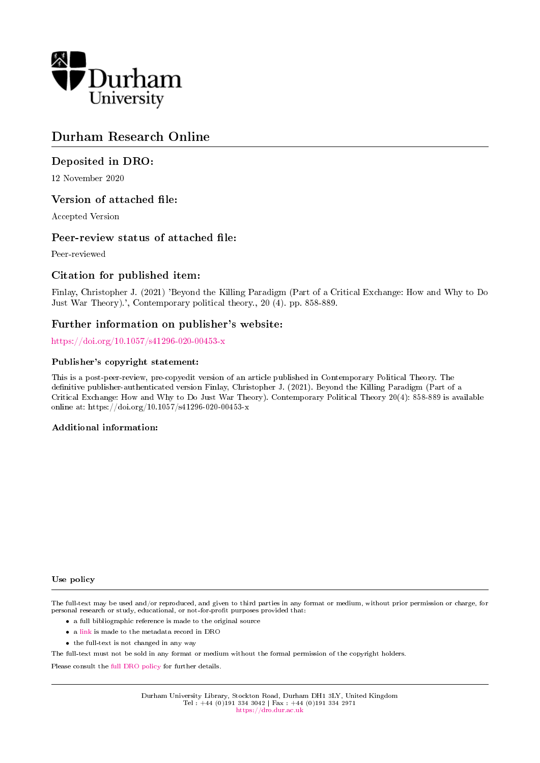

## Durham Research Online

### Deposited in DRO:

12 November 2020

### Version of attached file:

Accepted Version

### Peer-review status of attached file:

Peer-reviewed

### Citation for published item:

Finlay, Christopher J. (2021) 'Beyond the Killing Paradigm (Part of a Critical Exchange: How and Why to Do Just War Theory).', Contemporary political theory., 20 (4). pp. 858-889.

### Further information on publisher's website:

<https://doi.org/10.1057/s41296-020-00453-x>

### Publisher's copyright statement:

This is a post-peer-review, pre-copyedit version of an article published in Contemporary Political Theory. The definitive publisher-authenticated version Finlay, Christopher J. (2021). Beyond the Killing Paradigm (Part of a Critical Exchange: How and Why to Do Just War Theory). Contemporary Political Theory 20(4): 858-889 is available online at: https://doi.org/10.1057/s41296-020-00453-x

#### Additional information:

#### Use policy

The full-text may be used and/or reproduced, and given to third parties in any format or medium, without prior permission or charge, for personal research or study, educational, or not-for-profit purposes provided that:

- a full bibliographic reference is made to the original source
- a [link](http://dro.dur.ac.uk/32150/) is made to the metadata record in DRO
- the full-text is not changed in any way

The full-text must not be sold in any format or medium without the formal permission of the copyright holders.

Please consult the [full DRO policy](https://dro.dur.ac.uk/policies/usepolicy.pdf) for further details.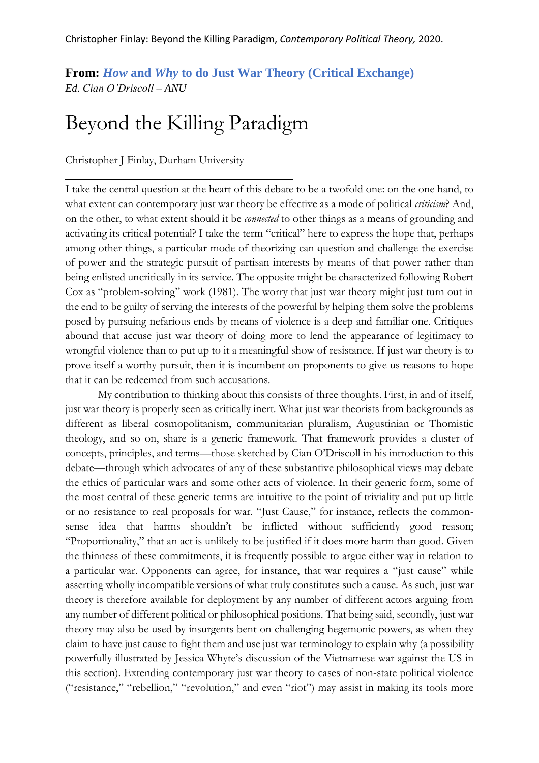## **From:** *How* **and** *Why* **to do Just War Theory (Critical Exchange)** *Ed. Cian O'Driscoll – ANU*

# Beyond the Killing Paradigm

### Christopher J Finlay, Durham University

I take the central question at the heart of this debate to be a twofold one: on the one hand, to what extent can contemporary just war theory be effective as a mode of political *criticism*? And, on the other, to what extent should it be *connected* to other things as a means of grounding and activating its critical potential? I take the term "critical" here to express the hope that, perhaps among other things, a particular mode of theorizing can question and challenge the exercise of power and the strategic pursuit of partisan interests by means of that power rather than being enlisted uncritically in its service. The opposite might be characterized following Robert Cox as "problem-solving" work (1981). The worry that just war theory might just turn out in the end to be guilty of serving the interests of the powerful by helping them solve the problems posed by pursuing nefarious ends by means of violence is a deep and familiar one. Critiques abound that accuse just war theory of doing more to lend the appearance of legitimacy to wrongful violence than to put up to it a meaningful show of resistance. If just war theory is to prove itself a worthy pursuit, then it is incumbent on proponents to give us reasons to hope that it can be redeemed from such accusations.

My contribution to thinking about this consists of three thoughts. First, in and of itself, just war theory is properly seen as critically inert. What just war theorists from backgrounds as different as liberal cosmopolitanism, communitarian pluralism, Augustinian or Thomistic theology, and so on, share is a generic framework. That framework provides a cluster of concepts, principles, and terms—those sketched by Cian O'Driscoll in his introduction to this debate—through which advocates of any of these substantive philosophical views may debate the ethics of particular wars and some other acts of violence. In their generic form, some of the most central of these generic terms are intuitive to the point of triviality and put up little or no resistance to real proposals for war. "Just Cause," for instance, reflects the commonsense idea that harms shouldn't be inflicted without sufficiently good reason; "Proportionality," that an act is unlikely to be justified if it does more harm than good. Given the thinness of these commitments, it is frequently possible to argue either way in relation to a particular war. Opponents can agree, for instance, that war requires a "just cause" while asserting wholly incompatible versions of what truly constitutes such a cause. As such, just war theory is therefore available for deployment by any number of different actors arguing from any number of different political or philosophical positions. That being said, secondly, just war theory may also be used by insurgents bent on challenging hegemonic powers, as when they claim to have just cause to fight them and use just war terminology to explain why (a possibility powerfully illustrated by Jessica Whyte's discussion of the Vietnamese war against the US in this section). Extending contemporary just war theory to cases of non-state political violence ("resistance," "rebellion," "revolution," and even "riot") may assist in making its tools more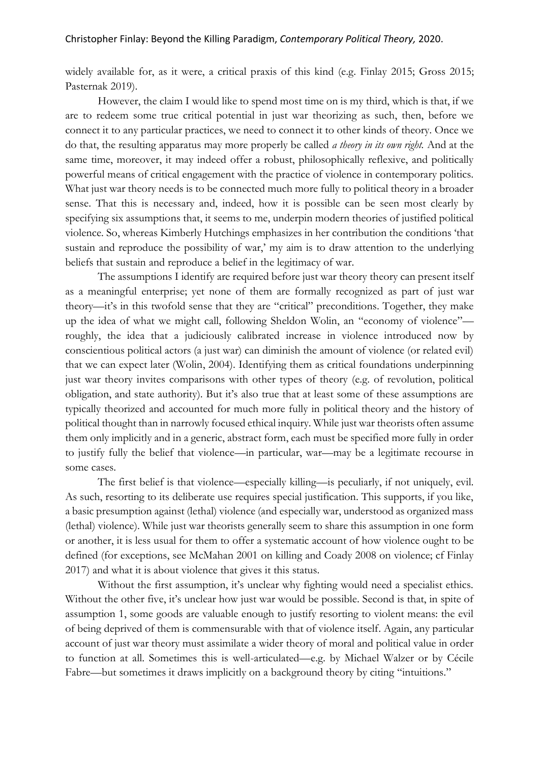widely available for, as it were, a critical praxis of this kind (e.g. Finlay 2015; Gross 2015; Pasternak 2019).

However, the claim I would like to spend most time on is my third, which is that, if we are to redeem some true critical potential in just war theorizing as such, then, before we connect it to any particular practices, we need to connect it to other kinds of theory. Once we do that, the resulting apparatus may more properly be called *a theory in its own right.* And at the same time, moreover, it may indeed offer a robust, philosophically reflexive, and politically powerful means of critical engagement with the practice of violence in contemporary politics. What just war theory needs is to be connected much more fully to political theory in a broader sense. That this is necessary and, indeed, how it is possible can be seen most clearly by specifying six assumptions that, it seems to me, underpin modern theories of justified political violence. So, whereas Kimberly Hutchings emphasizes in her contribution the conditions 'that sustain and reproduce the possibility of war,' my aim is to draw attention to the underlying beliefs that sustain and reproduce a belief in the legitimacy of war.

The assumptions I identify are required before just war theory theory can present itself as a meaningful enterprise; yet none of them are formally recognized as part of just war theory—it's in this twofold sense that they are "critical" preconditions. Together, they make up the idea of what we might call, following Sheldon Wolin, an "economy of violence" roughly, the idea that a judiciously calibrated increase in violence introduced now by conscientious political actors (a just war) can diminish the amount of violence (or related evil) that we can expect later (Wolin, 2004). Identifying them as critical foundations underpinning just war theory invites comparisons with other types of theory (e.g. of revolution, political obligation, and state authority). But it's also true that at least some of these assumptions are typically theorized and accounted for much more fully in political theory and the history of political thought than in narrowly focused ethical inquiry. While just war theorists often assume them only implicitly and in a generic, abstract form, each must be specified more fully in order to justify fully the belief that violence—in particular, war—may be a legitimate recourse in some cases.

The first belief is that violence—especially killing—is peculiarly, if not uniquely, evil. As such, resorting to its deliberate use requires special justification. This supports, if you like, a basic presumption against (lethal) violence (and especially war, understood as organized mass (lethal) violence). While just war theorists generally seem to share this assumption in one form or another, it is less usual for them to offer a systematic account of how violence ought to be defined (for exceptions, see McMahan 2001 on killing and Coady 2008 on violence; cf Finlay 2017) and what it is about violence that gives it this status.

Without the first assumption, it's unclear why fighting would need a specialist ethics. Without the other five, it's unclear how just war would be possible. Second is that, in spite of assumption 1, some goods are valuable enough to justify resorting to violent means: the evil of being deprived of them is commensurable with that of violence itself. Again, any particular account of just war theory must assimilate a wider theory of moral and political value in order to function at all. Sometimes this is well-articulated—e.g. by Michael Walzer or by Cécile Fabre—but sometimes it draws implicitly on a background theory by citing "intuitions."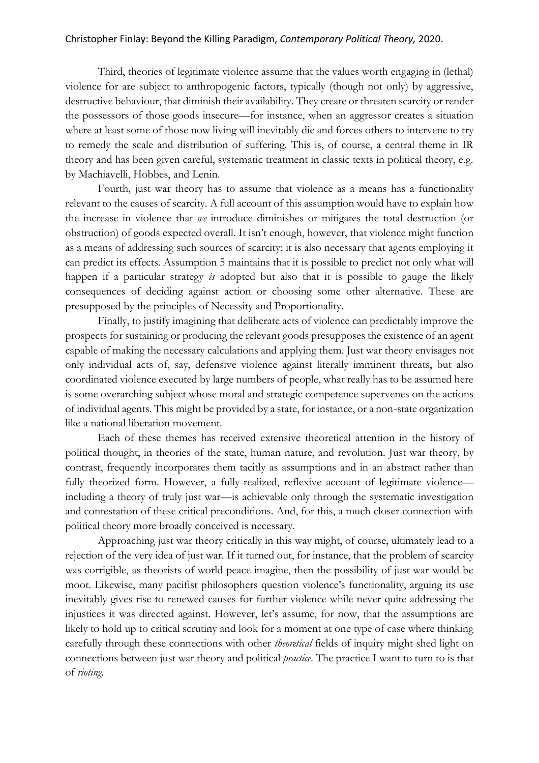Third, theories of legitimate violence assume that the values worth engaging in (lethal) violence for are subject to anthropogenic factors, typically (though not only) by aggressive, destructive behaviour, that diminish their availability. They create or threaten scarcity or render the possessors of those goods insecure—for instance, when an aggressor creates a situation where at least some of those now living will inevitably die and forces others to intervene to try to remedy the scale and distribution of suffering. This is, of course, a central theme in IR theory and has been given careful, systematic treatment in classic texts in political theory, e.g. by Machiavelli, Hobbes, and Lenin.

Fourth, just war theory has to assume that violence as a means has a functionality relevant to the causes of scarcity. A full account of this assumption would have to explain how the increase in violence that *we* introduce diminishes or mitigates the total destruction (or obstruction) of goods expected overall. It isn't enough, however, that violence might function as a means of addressing such sources of scarcity; it is also necessary that agents employing it can predict its effects. Assumption 5 maintains that it is possible to predict not only what will happen if a particular strategy *is* adopted but also that it is possible to gauge the likely consequences of deciding against action or choosing some other alternative. These are presupposed by the principles of Necessity and Proportionality.

Finally, to justify imagining that deliberate acts of violence can predictably improve the prospects for sustaining or producing the relevant goods presupposes the existence of an agent capable of making the necessary calculations and applying them. Just war theory envisages not only individual acts of, say, defensive violence against literally imminent threats, but also coordinated violence executed by large numbers of people, what really has to be assumed here is some overarching subject whose moral and strategic competence supervenes on the actions of individual agents. This might be provided by a state, for instance, or a non-state organization like a national liberation movement.

Each of these themes has received extensive theoretical attention in the history of political thought, in theories of the state, human nature, and revolution. Just war theory, by contrast, frequently incorporates them tacitly as assumptions and in an abstract rather than fully theorized form. However, a fully-realized, reflexive account of legitimate violence including a theory of truly just war—is achievable only through the systematic investigation and contestation of these critical preconditions. And, for this, a much closer connection with political theory more broadly conceived is necessary.

Approaching just war theory critically in this way might, of course, ultimately lead to a rejection of the very idea of just war. If it turned out, for instance, that the problem of scarcity was corrigible, as theorists of world peace imagine, then the possibility of just war would be moot. Likewise, many pacifist philosophers question violence's functionality, arguing its use inevitably gives rise to renewed causes for further violence while never quite addressing the injustices it was directed against. However, let's assume, for now, that the assumptions are likely to hold up to critical scrutiny and look for a moment at one type of case where thinking carefully through these connections with other *theoretical* fields of inquiry might shed light on connections between just war theory and political *practice*. The practice I want to turn to is that of *rioting.*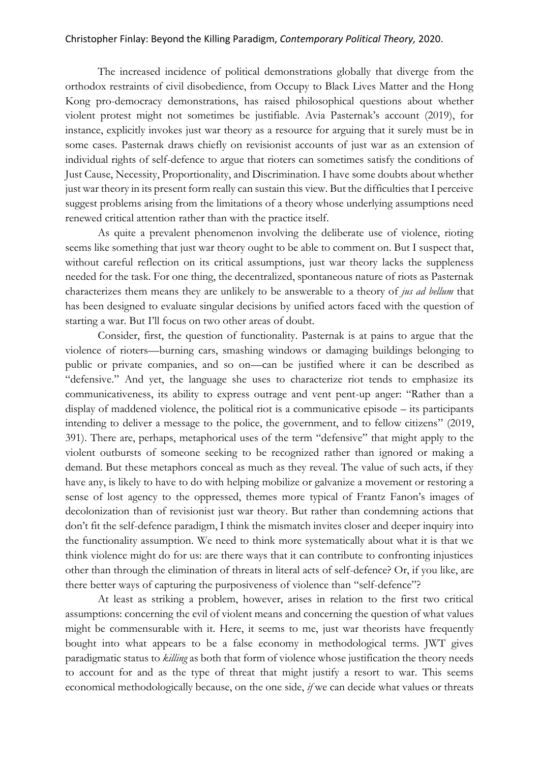The increased incidence of political demonstrations globally that diverge from the orthodox restraints of civil disobedience, from Occupy to Black Lives Matter and the Hong Kong pro-democracy demonstrations, has raised philosophical questions about whether violent protest might not sometimes be justifiable. Avia Pasternak's account (2019), for instance, explicitly invokes just war theory as a resource for arguing that it surely must be in some cases. Pasternak draws chiefly on revisionist accounts of just war as an extension of individual rights of self-defence to argue that rioters can sometimes satisfy the conditions of Just Cause, Necessity, Proportionality, and Discrimination. I have some doubts about whether just war theory in its present form really can sustain this view. But the difficulties that I perceive suggest problems arising from the limitations of a theory whose underlying assumptions need renewed critical attention rather than with the practice itself.

As quite a prevalent phenomenon involving the deliberate use of violence, rioting seems like something that just war theory ought to be able to comment on. But I suspect that, without careful reflection on its critical assumptions, just war theory lacks the suppleness needed for the task. For one thing, the decentralized, spontaneous nature of riots as Pasternak characterizes them means they are unlikely to be answerable to a theory of *jus ad bellum* that has been designed to evaluate singular decisions by unified actors faced with the question of starting a war. But I'll focus on two other areas of doubt.

Consider, first, the question of functionality. Pasternak is at pains to argue that the violence of rioters—burning cars, smashing windows or damaging buildings belonging to public or private companies, and so on—can be justified where it can be described as "defensive." And yet, the language she uses to characterize riot tends to emphasize its communicativeness, its ability to express outrage and vent pent-up anger: "Rather than a display of maddened violence, the political riot is a communicative episode – its participants intending to deliver a message to the police, the government, and to fellow citizens" (2019, 391). There are, perhaps, metaphorical uses of the term "defensive" that might apply to the violent outbursts of someone seeking to be recognized rather than ignored or making a demand. But these metaphors conceal as much as they reveal. The value of such acts, if they have any, is likely to have to do with helping mobilize or galvanize a movement or restoring a sense of lost agency to the oppressed, themes more typical of Frantz Fanon's images of decolonization than of revisionist just war theory. But rather than condemning actions that don't fit the self-defence paradigm, I think the mismatch invites closer and deeper inquiry into the functionality assumption. We need to think more systematically about what it is that we think violence might do for us: are there ways that it can contribute to confronting injustices other than through the elimination of threats in literal acts of self-defence? Or, if you like, are there better ways of capturing the purposiveness of violence than "self-defence"?

At least as striking a problem, however, arises in relation to the first two critical assumptions: concerning the evil of violent means and concerning the question of what values might be commensurable with it. Here, it seems to me, just war theorists have frequently bought into what appears to be a false economy in methodological terms. JWT gives paradigmatic status to *killing* as both that form of violence whose justification the theory needs to account for and as the type of threat that might justify a resort to war. This seems economical methodologically because, on the one side, *if* we can decide what values or threats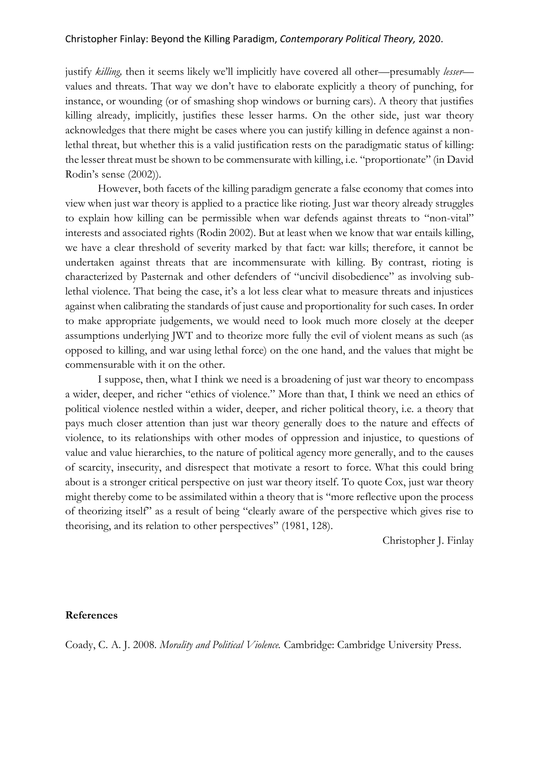justify *killing,* then it seems likely we'll implicitly have covered all other—presumably *lesser* values and threats. That way we don't have to elaborate explicitly a theory of punching, for instance, or wounding (or of smashing shop windows or burning cars). A theory that justifies killing already, implicitly, justifies these lesser harms. On the other side, just war theory acknowledges that there might be cases where you can justify killing in defence against a nonlethal threat, but whether this is a valid justification rests on the paradigmatic status of killing: the lesser threat must be shown to be commensurate with killing, i.e. "proportionate" (in David Rodin's sense (2002)).

However, both facets of the killing paradigm generate a false economy that comes into view when just war theory is applied to a practice like rioting. Just war theory already struggles to explain how killing can be permissible when war defends against threats to "non-vital" interests and associated rights (Rodin 2002). But at least when we know that war entails killing, we have a clear threshold of severity marked by that fact: war kills; therefore, it cannot be undertaken against threats that are incommensurate with killing. By contrast, rioting is characterized by Pasternak and other defenders of "uncivil disobedience" as involving sublethal violence. That being the case, it's a lot less clear what to measure threats and injustices against when calibrating the standards of just cause and proportionality for such cases. In order to make appropriate judgements, we would need to look much more closely at the deeper assumptions underlying JWT and to theorize more fully the evil of violent means as such (as opposed to killing, and war using lethal force) on the one hand, and the values that might be commensurable with it on the other.

I suppose, then, what I think we need is a broadening of just war theory to encompass a wider, deeper, and richer "ethics of violence." More than that, I think we need an ethics of political violence nestled within a wider, deeper, and richer political theory, i.e. a theory that pays much closer attention than just war theory generally does to the nature and effects of violence, to its relationships with other modes of oppression and injustice, to questions of value and value hierarchies, to the nature of political agency more generally, and to the causes of scarcity, insecurity, and disrespect that motivate a resort to force. What this could bring about is a stronger critical perspective on just war theory itself. To quote Cox, just war theory might thereby come to be assimilated within a theory that is "more reflective upon the process of theorizing itself" as a result of being "clearly aware of the perspective which gives rise to theorising, and its relation to other perspectives" (1981, 128).

Christopher J. Finlay

### **References**

Coady, C. A. J. 2008. *Morality and Political Violence.* Cambridge: Cambridge University Press.